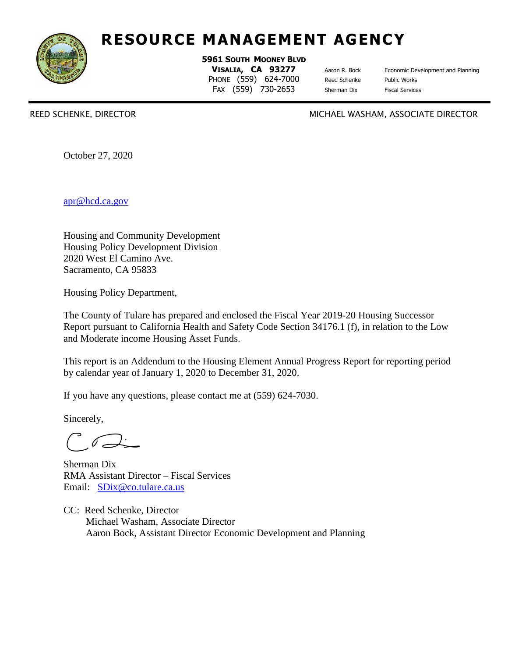

# **RESOURCE MANAGEMENT AGENCY**

**5961 SOUTH MOONEY BLVD VISALIA, CA 93277** Aaron R. Bock Economic Development and Planning PHONE (559) 624-7000 Reed Schenke Public Works FAX (559) 730-2653 Sherman Dix Fiscal Services

REED SCHENKE, DIRECTOR MICHAEL WASHAM, ASSOCIATE DIRECTOR

October 27, 2020

[apr@hcd.ca.gov](mailto:apr@hcd.ca.gov)

Housing and Community Development Housing Policy Development Division 2020 West El Camino Ave. Sacramento, CA 95833

Housing Policy Department,

The County of Tulare has prepared and enclosed the Fiscal Year 2019-20 Housing Successor Report pursuant to California Health and Safety Code Section 34176.1 (f), in relation to the Low and Moderate income Housing Asset Funds.

This report is an Addendum to the Housing Element Annual Progress Report for reporting period by calendar year of January 1, 2020 to December 31, 2020.

If you have any questions, please contact me at (559) 624-7030.

Sincerely,

Sherman Dix RMA Assistant Director – Fiscal Services Email: [SDix@co.tulare.ca.us](mailto:SDix@co.tulare.ca.us)

CC: Reed Schenke, Director Michael Washam, Associate Director Aaron Bock, Assistant Director Economic Development and Planning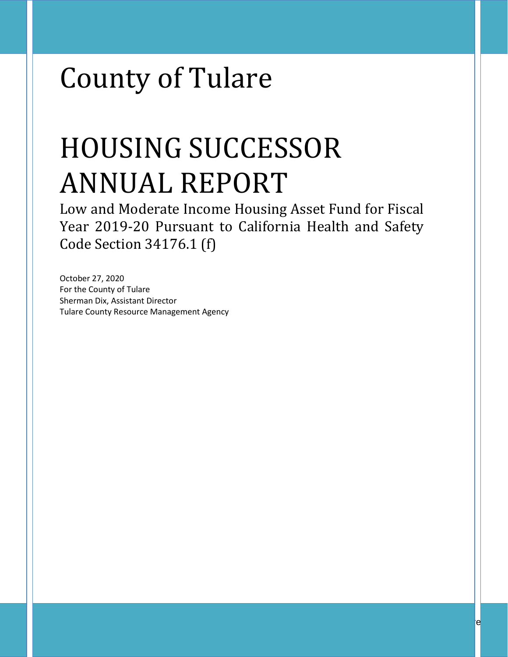# County of Tulare

# HOUSING SUCCESSOR ANNUAL REPORT

Low and Moderate Income Housing Asset Fund for Fiscal Year 2019-20 Pursuant to California Health and Safety Code Section 34176.1 (f)

October 27, 2020 For the County of Tulare Sherman Dix, Assistant Director Tulare County Resource Management Agency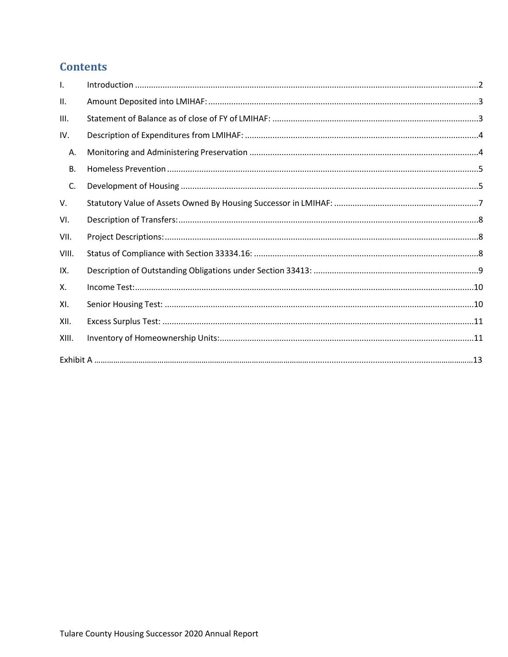# **Contents**

| Τ.    |  |
|-------|--|
| Ш.    |  |
| III.  |  |
| IV.   |  |
| Α.    |  |
| В.    |  |
| C.    |  |
| V.    |  |
| VI.   |  |
| VII.  |  |
| VIII. |  |
| IX.   |  |
| Х.    |  |
| XI.   |  |
| XII.  |  |
| XIII. |  |
|       |  |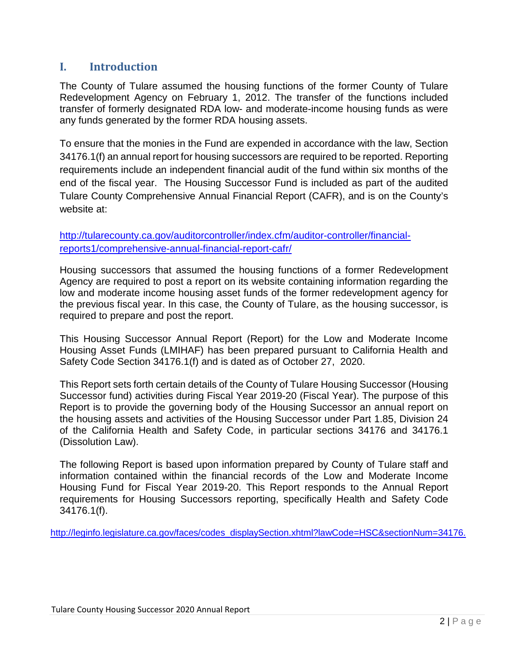# <span id="page-3-0"></span>**I. Introduction**

The County of Tulare assumed the housing functions of the former County of Tulare Redevelopment Agency on February 1, 2012. The transfer of the functions included transfer of formerly designated RDA low- and moderate-income housing funds as were any funds generated by the former RDA housing assets.

To ensure that the monies in the Fund are expended in accordance with the law, Section 34176.1(f) an annual report for housing successors are required to be reported. Reporting requirements include an independent financial audit of the fund within six months of the end of the fiscal year. The Housing Successor Fund is included as part of the audited Tulare County Comprehensive Annual Financial Report (CAFR), and is on the County's website at:

[http://tularecounty.ca.gov/auditorcontroller/index.cfm/auditor-controller/financial](http://tularecounty.ca.gov/auditorcontroller/index.cfm/auditor-controller/financial-reports1/comprehensive-annual-financial-report-cafr/)[reports1/comprehensive-annual-financial-report-cafr/](http://tularecounty.ca.gov/auditorcontroller/index.cfm/auditor-controller/financial-reports1/comprehensive-annual-financial-report-cafr/)

Housing successors that assumed the housing functions of a former Redevelopment Agency are required to post a report on its website containing information regarding the low and moderate income housing asset funds of the former redevelopment agency for the previous fiscal year. In this case, the County of Tulare, as the housing successor, is required to prepare and post the report.

This Housing Successor Annual Report (Report) for the Low and Moderate Income Housing Asset Funds (LMIHAF) has been prepared pursuant to California Health and Safety Code Section 34176.1(f) and is dated as of October 27, 2020.

This Report sets forth certain details of the County of Tulare Housing Successor (Housing Successor fund) activities during Fiscal Year 2019-20 (Fiscal Year). The purpose of this Report is to provide the governing body of the Housing Successor an annual report on the housing assets and activities of the Housing Successor under Part 1.85, Division 24 of the California Health and Safety Code, in particular sections 34176 and 34176.1 (Dissolution Law).

The following Report is based upon information prepared by County of Tulare staff and information contained within the financial records of the Low and Moderate Income Housing Fund for Fiscal Year 2019-20. This Report responds to the Annual Report requirements for Housing Successors reporting, specifically Health and Safety Code 34176.1(f).

[http://leginfo.legislature.ca.gov/faces/codes\\_displaySection.xhtml?lawCode=HSC&sectionNum=34176.](http://leginfo.legislature.ca.gov/faces/codes_displaySection.xhtml?lawCode=HSC§ionNum=34176.)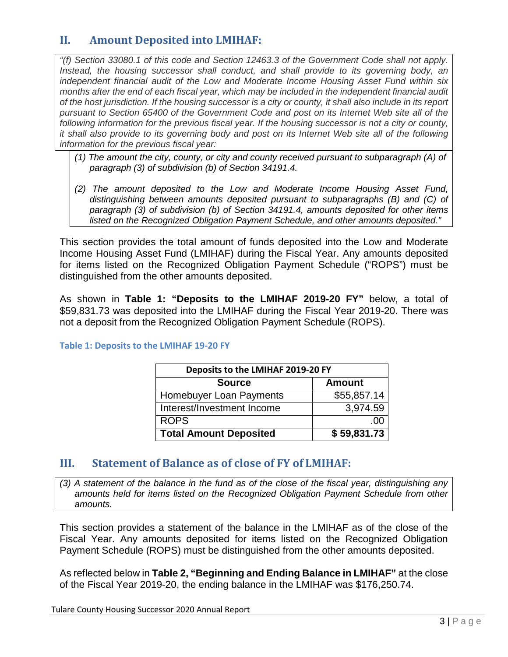# <span id="page-4-0"></span>**II. Amount Deposited into LMIHAF:**

*"(f) Section 33080.1 of this code and Section 12463.3 of the Government Code shall not apply. Instead, the housing successor shall conduct, and shall provide to its governing body, an independent financial audit of the Low and Moderate Income Housing Asset Fund within six months after the end of each fiscal year, which may be included in the independent financial audit of the host jurisdiction. If the housing successor is a city or county, it shall also include in its report pursuant to Section 65400 of the Government Code and post on its Internet Web site all of the following information for the previous fiscal year. If the housing successor is not a city or county, it shall also provide to its governing body and post on its Internet Web site all of the following information for the previous fiscal year:*

- *(1) The amount the city, county, or city and county received pursuant to subparagraph (A) of paragraph (3) of subdivision (b) of Section 34191.4.*
- *(2) The amount deposited to the Low and Moderate Income Housing Asset Fund, distinguishing between amounts deposited pursuant to subparagraphs (B) and (C) of paragraph (3) of subdivision (b) of Section 34191.4, amounts deposited for other items listed on the Recognized Obligation Payment Schedule, and other amounts deposited."*

This section provides the total amount of funds deposited into the Low and Moderate Income Housing Asset Fund (LMIHAF) during the Fiscal Year. Any amounts deposited for items listed on the Recognized Obligation Payment Schedule ("ROPS") must be distinguished from the other amounts deposited.

As shown in **Table 1: "Deposits to the LMIHAF 2019-20 FY"** below, a total of \$59,831.73 was deposited into the LMIHAF during the Fiscal Year 2019-20. There was not a deposit from the Recognized Obligation Payment Schedule (ROPS).

| Deposits to the LMIHAF 2019-20 FY |               |  |  |  |
|-----------------------------------|---------------|--|--|--|
| <b>Source</b>                     | <b>Amount</b> |  |  |  |
| Homebuyer Loan Payments           | \$55,857.14   |  |  |  |
| Interest/Investment Income        | 3,974.59      |  |  |  |
| <b>ROPS</b>                       | .W            |  |  |  |
| <b>Total Amount Deposited</b>     | \$59,831.73   |  |  |  |

#### **Table 1: Deposits to the LMIHAF 19-20 FY**

#### <span id="page-4-1"></span>**III. Statement of Balance as of close of FY of LMIHAF:**

*(3) A statement of the balance in the fund as of the close of the fiscal year, distinguishing any amounts held for items listed on the Recognized Obligation Payment Schedule from other amounts.*

This section provides a statement of the balance in the LMIHAF as of the close of the Fiscal Year. Any amounts deposited for items listed on the Recognized Obligation Payment Schedule (ROPS) must be distinguished from the other amounts deposited.

As reflected below in **Table 2, "Beginning and Ending Balance in LMIHAF"** at the close of the Fiscal Year 2019-20, the ending balance in the LMIHAF was \$176,250.74.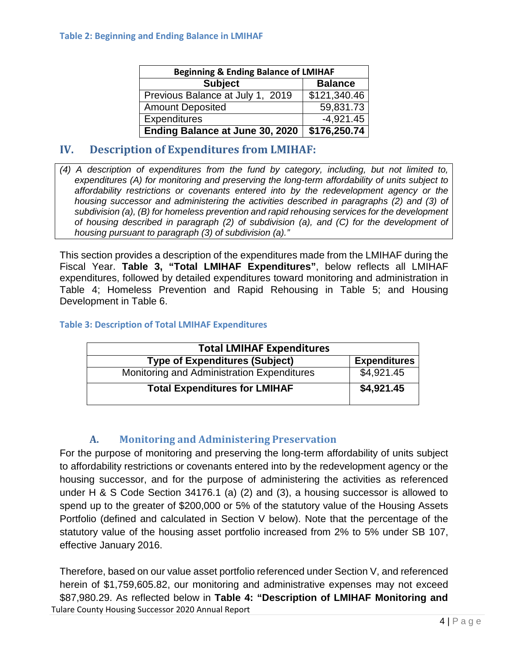| <b>Beginning &amp; Ending Balance of LMIHAF</b> |                |  |  |  |
|-------------------------------------------------|----------------|--|--|--|
| <b>Subject</b>                                  | <b>Balance</b> |  |  |  |
| Previous Balance at July 1, 2019                | \$121,340.46   |  |  |  |
| <b>Amount Deposited</b>                         | 59,831.73      |  |  |  |
| <b>Expenditures</b>                             | $-4,921.45$    |  |  |  |
| Ending Balance at June 30, 2020                 | \$176,250.74   |  |  |  |

# <span id="page-5-0"></span>**IV. Description of Expenditures from LMIHAF:**

*(4) A description of expenditures from the fund by category, including, but not limited to, expenditures (A) for monitoring and preserving the long-term affordability of units subject to affordability restrictions or covenants entered into by the redevelopment agency or the housing successor and administering the activities described in paragraphs (2) and (3) of subdivision (a), (B) for homeless prevention and rapid rehousing services for the development of housing described in paragraph (2) of subdivision (a), and (C) for the development of housing pursuant to paragraph (3) of subdivision (a)."*

This section provides a description of the expenditures made from the LMIHAF during the Fiscal Year. **Table 3, "Total LMIHAF Expenditures"**, below reflects all LMIHAF expenditures, followed by detailed expenditures toward monitoring and administration in Table 4; Homeless Prevention and Rapid Rehousing in Table 5; and Housing Development in Table 6.

#### **Table 3: Description of Total LMIHAF Expenditures**

| <b>Total LMIHAF Expenditures</b>           |                     |
|--------------------------------------------|---------------------|
| <b>Type of Expenditures (Subject)</b>      | <b>Expenditures</b> |
| Monitoring and Administration Expenditures | \$4,921.45          |
| <b>Total Expenditures for LMIHAF</b>       | \$4,921.45          |

#### **A. Monitoring and Administering Preservation**

<span id="page-5-1"></span>For the purpose of monitoring and preserving the long-term affordability of units subject to affordability restrictions or covenants entered into by the redevelopment agency or the housing successor, and for the purpose of administering the activities as referenced under H & S Code Section 34176.1 (a) (2) and (3), a housing successor is allowed to spend up to the greater of \$200,000 or 5% of the statutory value of the Housing Assets Portfolio (defined and calculated in Section V below). Note that the percentage of the statutory value of the housing asset portfolio increased from 2% to 5% under SB 107, effective January 2016.

Tulare County Housing Successor 2020 Annual Report Therefore, based on our value asset portfolio referenced under Section V, and referenced herein of \$1,759,605.82, our monitoring and administrative expenses may not exceed \$87,980.29. As reflected below in **Table 4: "Description of LMIHAF Monitoring and**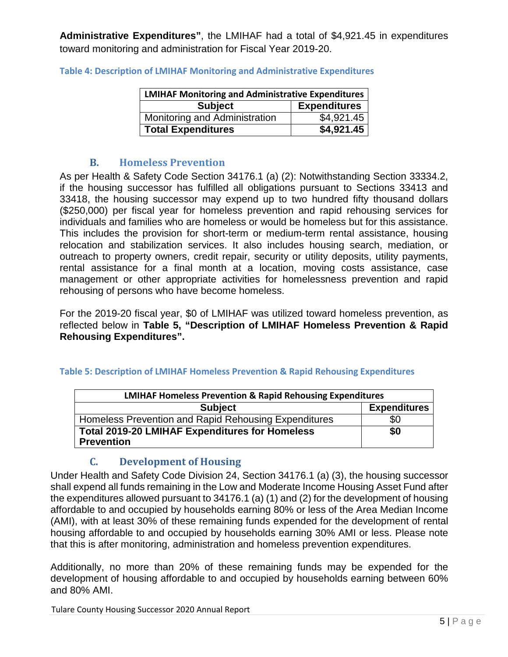**Administrative Expenditures"**, the LMIHAF had a total of \$4,921.45 in expenditures toward monitoring and administration for Fiscal Year 2019-20.

| <b>LMIHAF Monitoring and Administrative Expenditures</b> |                        |  |  |  |
|----------------------------------------------------------|------------------------|--|--|--|
| <b>Subject</b>                                           | <b>Expenditures</b>    |  |  |  |
| Monitoring and Administration                            | $\overline{84,921.45}$ |  |  |  |
| <b>Total Expenditures</b>                                | \$4,921.45             |  |  |  |

**Table 4: Description of LMIHAF Monitoring and Administrative Expenditures**

#### **B. Homeless Prevention**

<span id="page-6-0"></span>As per Health & Safety Code Section 34176.1 (a) (2): Notwithstanding Section 33334.2, if the housing successor has fulfilled all obligations pursuant to Sections 33413 and 33418, the housing successor may expend up to two hundred fifty thousand dollars (\$250,000) per fiscal year for homeless prevention and rapid rehousing services for individuals and families who are homeless or would be homeless but for this assistance. This includes the provision for short-term or medium-term rental assistance, housing relocation and stabilization services. It also includes housing search, mediation, or outreach to property owners, credit repair, security or utility deposits, utility payments, rental assistance for a final month at a location, moving costs assistance, case management or other appropriate activities for homelessness prevention and rapid rehousing of persons who have become homeless.

For the 2019-20 fiscal year, \$0 of LMIHAF was utilized toward homeless prevention, as reflected below in **Table 5, "Description of LMIHAF Homeless Prevention & Rapid Rehousing Expenditures".**

| <b>LMIHAF Homeless Prevention &amp; Rapid Rehousing Expenditures</b>       |                     |  |  |  |
|----------------------------------------------------------------------------|---------------------|--|--|--|
| <b>Subject</b>                                                             | <b>Expenditures</b> |  |  |  |
| Homeless Prevention and Rapid Rehousing Expenditures                       | \$0                 |  |  |  |
| <b>Total 2019-20 LMIHAF Expenditures for Homeless</b><br><b>Prevention</b> | \$0                 |  |  |  |

#### **Table 5: Description of LMIHAF Homeless Prevention & Rapid Rehousing Expenditures**

# **C. Development of Housing**

<span id="page-6-1"></span>Under Health and Safety Code Division 24, Section 34176.1 (a) (3), the housing successor shall expend all funds remaining in the Low and Moderate Income Housing Asset Fund after the expenditures allowed pursuant to 34176.1 (a) (1) and (2) for the development of housing affordable to and occupied by households earning 80% or less of the Area Median Income (AMI), with at least 30% of these remaining funds expended for the development of rental housing affordable to and occupied by households earning 30% AMI or less. Please note that this is after monitoring, administration and homeless prevention expenditures.

Additionally, no more than 20% of these remaining funds may be expended for the development of housing affordable to and occupied by households earning between 60% and 80% AMI.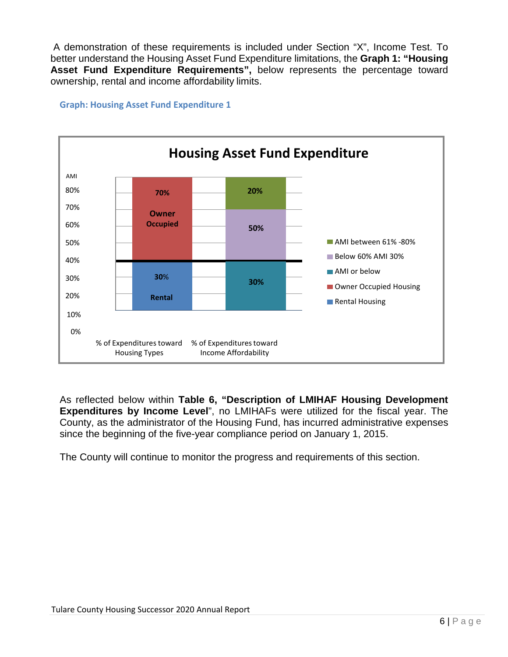A demonstration of these requirements is included under Section "X", Income Test. To better understand the Housing Asset Fund Expenditure limitations, the **Graph 1: "Housing Asset Fund Expenditure Requirements",** below represents the percentage toward ownership, rental and income affordability limits.

#### AMI **Housing Asset Fund Expenditure** 80% 70% 60% 50% 40% 30% 20% AMI between 61% -80% **Below 60% AMI 30% AMI** or below Owner Occupied Housing Rental Housing 10% 0% % of Expenditures toward % of Expenditurestoward Housing Types Income Affordability **70% Owner Occupied 20% 50% 30**% **Rental 30%**

**Graph: Housing Asset Fund Expenditure 1**

As reflected below within **Table 6, "Description of LMIHAF Housing Development Expenditures by Income Level**", no LMIHAFs were utilized for the fiscal year. The County, as the administrator of the Housing Fund, has incurred administrative expenses since the beginning of the five-year compliance period on January 1, 2015.

The County will continue to monitor the progress and requirements of this section.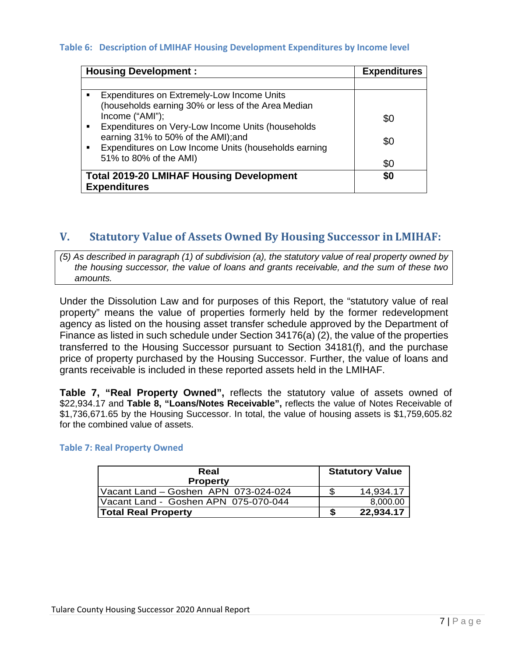#### **Table 6: Description of LMIHAF Housing Development Expenditures by Income level**

| <b>Housing Development:</b>                                                                                   | <b>Expenditures</b> |
|---------------------------------------------------------------------------------------------------------------|---------------------|
|                                                                                                               |                     |
| Expenditures on Extremely-Low Income Units<br>(households earning 30% or less of the Area Median              |                     |
| Income ("AMI");<br>Expenditures on Very-Low Income Units (households                                          | \$0                 |
| earning 31% to 50% of the AMI); and<br>Expenditures on Low Income Units (households earning<br>$\blacksquare$ | \$0                 |
| 51% to 80% of the AMI)                                                                                        | \$0                 |
| <b>Total 2019-20 LMIHAF Housing Development</b><br><b>Expenditures</b>                                        | \$0                 |

#### <span id="page-8-0"></span>**V. Statutory Value of Assets Owned By Housing Successor in LMIHAF:**

*(5) As described in paragraph (1) of subdivision (a), the statutory value of real property owned by the housing successor, the value of loans and grants receivable, and the sum of these two amounts.*

Under the Dissolution Law and for purposes of this Report, the "statutory value of real property" means the value of properties formerly held by the former redevelopment agency as listed on the housing asset transfer schedule approved by the Department of Finance as listed in such schedule under Section 34176(a) (2), the value of the properties transferred to the Housing Successor pursuant to Section 34181(f), and the purchase price of property purchased by the Housing Successor. Further, the value of loans and grants receivable is included in these reported assets held in the LMIHAF.

**Table 7, "Real Property Owned",** reflects the statutory value of assets owned of \$22,934.17 and **Table 8, "Loans/Notes Receivable",** reflects the value of Notes Receivable of \$1,736,671.65 by the Housing Successor. In total, the value of housing assets is \$1,759,605.82 for the combined value of assets.

#### **Table 7: Real Property Owned**

| Real<br><b>Property</b>              | <b>Statutory Value</b> |
|--------------------------------------|------------------------|
| Vacant Land - Goshen APN 073-024-024 | 14,934.17              |
| Vacant Land - Goshen APN 075-070-044 | 8,000.00               |
| <b>Total Real Property</b>           | 22,934.17              |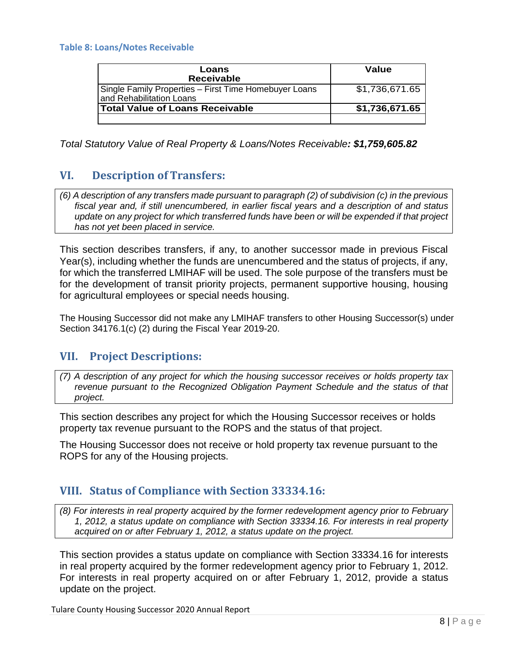#### **Table 8: Loans/Notes Receivable**

| Loans<br><b>Receivable</b>                                                          | Value          |
|-------------------------------------------------------------------------------------|----------------|
| Single Family Properties – First Time Homebuyer Loans<br>I and Rehabilitation Loans | \$1,736,671.65 |
| <b>Total Value of Loans Receivable</b>                                              | \$1,736,671.65 |
|                                                                                     |                |

*Total Statutory Value of Real Property & Loans/Notes Receivable: \$1,759,605.82*

# <span id="page-9-0"></span>**VI. Description of Transfers:**

*(6) A description of any transfers made pursuant to paragraph (2) of subdivision (c) in the previous fiscal year and, if still unencumbered, in earlier fiscal years and a description of and status update on any project for which transferred funds have been or will be expended if that project has not yet been placed in service.*

This section describes transfers, if any, to another successor made in previous Fiscal Year(s), including whether the funds are unencumbered and the status of projects, if any, for which the transferred LMIHAF will be used. The sole purpose of the transfers must be for the development of transit priority projects, permanent supportive housing, housing for agricultural employees or special needs housing.

The Housing Successor did not make any LMIHAF transfers to other Housing Successor(s) under Section 34176.1(c) (2) during the Fiscal Year 2019-20.

#### <span id="page-9-1"></span>**VII. Project Descriptions:**

*(7) A description of any project for which the housing successor receives or holds property tax revenue pursuant to the Recognized Obligation Payment Schedule and the status of that project.*

This section describes any project for which the Housing Successor receives or holds property tax revenue pursuant to the ROPS and the status of that project.

The Housing Successor does not receive or hold property tax revenue pursuant to the ROPS for any of the Housing projects.

#### <span id="page-9-2"></span>**VIII. Status of Compliance with Section 33334.16:**

*(8) For interests in real property acquired by the former redevelopment agency prior to February 1, 2012, a status update on compliance with Section 33334.16. For interests in real property acquired on or after February 1, 2012, a status update on the project.*

This section provides a status update on compliance with Section 33334.16 for interests in real property acquired by the former redevelopment agency prior to February 1, 2012. For interests in real property acquired on or after February 1, 2012, provide a status update on the project.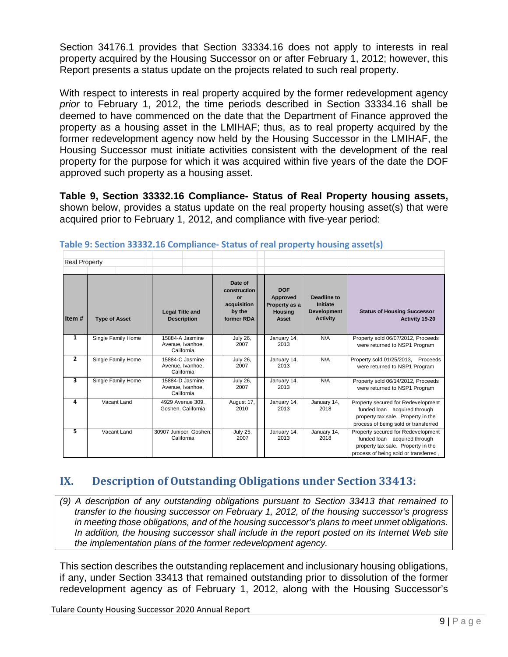Section 34176.1 provides that Section 33334.16 does not apply to interests in real property acquired by the Housing Successor on or after February 1, 2012; however, this Report presents a status update on the projects related to such real property.

With respect to interests in real property acquired by the former redevelopment agency *prior* to February 1, 2012, the time periods described in Section 33334.16 shall be deemed to have commenced on the date that the Department of Finance approved the property as a housing asset in the LMIHAF; thus, as to real property acquired by the former redevelopment agency now held by the Housing Successor in the LMIHAF, the Housing Successor must initiate activities consistent with the development of the real property for the purpose for which it was acquired within five years of the date the DOF approved such property as a housing asset.

**Table 9, Section 33332.16 Compliance- Status of Real Property housing assets,**  shown below, provides a status update on the real property housing asset(s) that were acquired prior to February 1, 2012, and compliance with five‐year period:

| <b>Real Property</b> |                      |                                                   |                                                                      |                                                                    |                                                                         |                                                                                                                                                   |
|----------------------|----------------------|---------------------------------------------------|----------------------------------------------------------------------|--------------------------------------------------------------------|-------------------------------------------------------------------------|---------------------------------------------------------------------------------------------------------------------------------------------------|
| Item#                | <b>Type of Asset</b> | <b>Legal Title and</b><br><b>Description</b>      | Date of<br>construction<br>or<br>acquisition<br>by the<br>former RDA | <b>DOF</b><br>Approved<br>Property as a<br><b>Housing</b><br>Asset | <b>Deadline to</b><br>Initiate<br><b>Development</b><br><b>Activity</b> | <b>Status of Housing Successor</b><br>Activity 19-20                                                                                              |
| 1                    | Single Family Home   | 15884-A Jasmine<br>Avenue, Ivanhoe,<br>California | <b>July 26,</b><br>2007                                              | January 14,<br>2013                                                | N/A                                                                     | Property sold 06/07/2012, Proceeds<br>were returned to NSP1 Program                                                                               |
| $\mathbf{z}$         | Single Family Home   | 15884-C Jasmine<br>Avenue, Ivanhoe,<br>California | <b>July 26,</b><br>2007                                              | January 14,<br>2013                                                | N/A                                                                     | Property sold 01/25/2013, Proceeds<br>were returned to NSP1 Program                                                                               |
| 3                    | Single Family Home   | 15884-D Jasmine<br>Avenue, Ivanhoe,<br>California | <b>July 26,</b><br>2007                                              | January 14,<br>2013                                                | N/A                                                                     | Property sold 06/14/2012, Proceeds<br>were returned to NSP1 Program                                                                               |
| 4                    | Vacant Land          | 4929 Avenue 309.<br>Goshen, California            | August 17,<br>2010                                                   | January 14,<br>2013                                                | January 14,<br>2018                                                     | Property secured for Redevelopment<br>funded loan acquired through<br>property tax sale. Property in the<br>process of being sold or transferred  |
| 5                    | Vacant Land          | 30907 Juniper, Goshen,<br>California              | <b>July 25,</b><br>2007                                              | January 14,<br>2013                                                | January 14,<br>2018                                                     | Property secured for Redevelopment<br>funded loan acquired through<br>property tax sale. Property in the<br>process of being sold or transferred, |

**Table 9: Section 33332.16 Compliance- Status of real property housing asset(s)**

# <span id="page-10-0"></span>**IX. Description of Outstanding Obligations under Section 33413:**

*(9) A description of any outstanding obligations pursuant to Section 33413 that remained to transfer to the housing successor on February 1, 2012, of the housing successor's progress in meeting those obligations, and of the housing successor's plans to meet unmet obligations. In addition, the housing successor shall include in the report posted on its Internet Web site the implementation plans of the former redevelopment agency.*

This section describes the outstanding replacement and inclusionary housing obligations, if any, under Section 33413 that remained outstanding prior to dissolution of the former redevelopment agency as of February 1, 2012, along with the Housing Successor's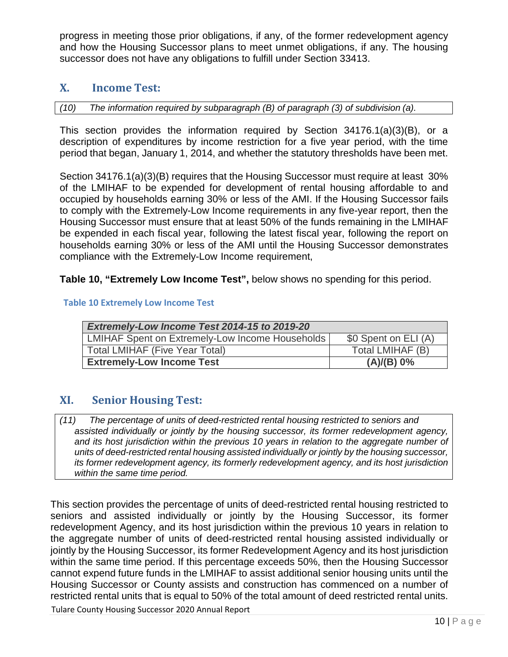progress in meeting those prior obligations, if any, of the former redevelopment agency and how the Housing Successor plans to meet unmet obligations, if any. The housing successor does not have any obligations to fulfill under Section 33413.

# <span id="page-11-0"></span>**X. Income Test:**

*(10) The information required by subparagraph (B) of paragraph (3) of subdivision (a).*

This section provides the information required by Section 34176.1(a)(3)(B), or a description of expenditures by income restriction for a five year period, with the time period that began, January 1, 2014, and whether the statutory thresholds have been met.

Section 34176.1(a)(3)(B) requires that the Housing Successor must require at least 30% of the LMIHAF to be expended for development of rental housing affordable to and occupied by households earning 30% or less of the AMI. If the Housing Successor fails to comply with the Extremely-Low Income requirements in any five-year report, then the Housing Successor must ensure that at least 50% of the funds remaining in the LMIHAF be expended in each fiscal year, following the latest fiscal year, following the report on households earning 30% or less of the AMI until the Housing Successor demonstrates compliance with the Extremely-Low Income requirement,

**Table 10, "Extremely Low Income Test",** below shows no spending for this period.

#### **Table 10 Extremely Low Income Test**

| Extremely-Low Income Test 2014-15 to 2019-20    |                      |  |  |  |  |
|-------------------------------------------------|----------------------|--|--|--|--|
| LMIHAF Spent on Extremely-Low Income Households | \$0 Spent on ELI (A) |  |  |  |  |
| <b>Total LMIHAF (Five Year Total)</b>           | Total LMIHAF (B)     |  |  |  |  |
| <b>Extremely-Low Income Test</b>                | (A)/(B) 0%           |  |  |  |  |

# <span id="page-11-1"></span>**XI. Senior Housing Test:**

*assisted individually or jointly by the housing successor, its former redevelopment agency, and its host jurisdiction within the previous 10 years in relation to the aggregate number of units of deed-restricted rental housing assisted individually or jointly by the housing successor, its former redevelopment agency, its formerly redevelopment agency, and its host jurisdiction within the same time period. (11) The percentage of units of deed-restricted rental housing restricted to seniors and*

This section provides the percentage of units of deed-restricted rental housing restricted to seniors and assisted individually or jointly by the Housing Successor, its former redevelopment Agency, and its host jurisdiction within the previous 10 years in relation to the aggregate number of units of deed-restricted rental housing assisted individually or jointly by the Housing Successor, its former Redevelopment Agency and its host jurisdiction within the same time period. If this percentage exceeds 50%, then the Housing Successor cannot expend future funds in the LMIHAF to assist additional senior housing units until the Housing Successor or County assists and construction has commenced on a number of restricted rental units that is equal to 50% of the total amount of deed restricted rental units.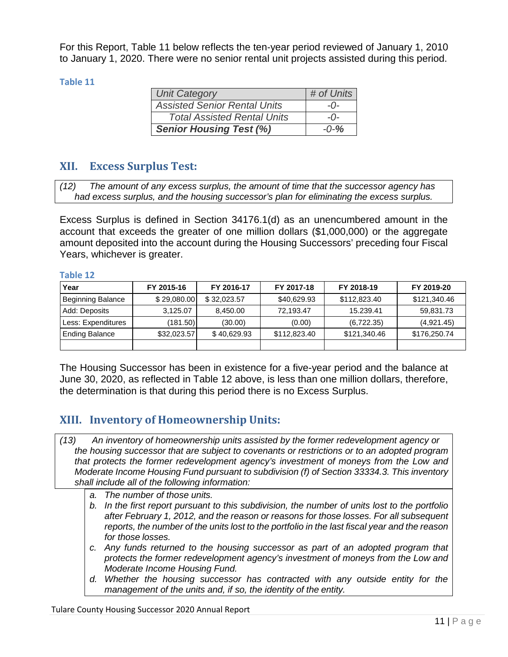For this Report, Table 11 below reflects the ten‐year period reviewed of January 1, 2010 to January 1, 2020. There were no senior rental unit projects assisted during this period.

#### **Table 11**

| <b>Unit Category</b>                | # of Units |
|-------------------------------------|------------|
| <b>Assisted Senior Rental Units</b> | $-0-$      |
| <b>Total Assisted Rental Units</b>  | $-0-$      |
| <b>Senior Housing Test (%)</b>      | $-0-%$     |

# <span id="page-12-0"></span>**XII. Excess Surplus Test:**

*had excess surplus, and the housing successor's plan for eliminating the excess surplus. (12) The amount of any excess surplus, the amount of time that the successor agency has*

Excess Surplus is defined in Section 34176.1(d) as an unencumbered amount in the account that exceeds the greater of one million dollars (\$1,000,000) or the aggregate amount deposited into the account during the Housing Successors' preceding four Fiscal Years, whichever is greater.

#### **Table 12**

| Year                  | FY 2015-16  | FY 2016-17  | FY 2017-18   | FY 2018-19   | FY 2019-20   |  |
|-----------------------|-------------|-------------|--------------|--------------|--------------|--|
| Beginning Balance     | \$29,080.00 | \$32,023.57 | \$40,629.93  | \$112,823.40 | \$121,340.46 |  |
| Add: Deposits         | 3,125.07    | 8,450.00    | 72,193.47    | 15.239.41    | 59,831.73    |  |
| Less: Expenditures    | (181.50)    | (30.00)     | (0.00)       | (6,722.35)   | (4,921.45)   |  |
| <b>Ending Balance</b> | \$32,023.57 | \$40,629.93 | \$112,823.40 | \$121,340.46 | \$176,250.74 |  |
|                       |             |             |              |              |              |  |

The Housing Successor has been in existence for a five-year period and the balance at June 30, 2020, as reflected in Table 12 above, is less than one million dollars, therefore, the determination is that during this period there is no Excess Surplus.

# <span id="page-12-1"></span>**XIII. Inventory of Homeownership Units:**

- *the housing successor that are subject to covenants or restrictions or to an adopted program that protects the former redevelopment agency's investment of moneys from the Low and Moderate Income Housing Fund pursuant to subdivision (f) of Section 33334.3. This inventory shall include all of the following information: (13) An inventory of homeownership units assisted by the former redevelopment agency or*
	- *a. The number of those units.*
	- *b. In the first report pursuant to this subdivision, the number of units lost to the portfolio after February 1, 2012, and the reason or reasons for those losses. For all subsequent reports, the number of the units lost to the portfolio in the last fiscal year and the reason for those losses.*
	- *c. Any funds returned to the housing successor as part of an adopted program that protects the former redevelopment agency's investment of moneys from the Low and Moderate Income Housing Fund.*
	- *d. Whether the housing successor has contracted with any outside entity for the management of the units and, if so, the identity of the entity.*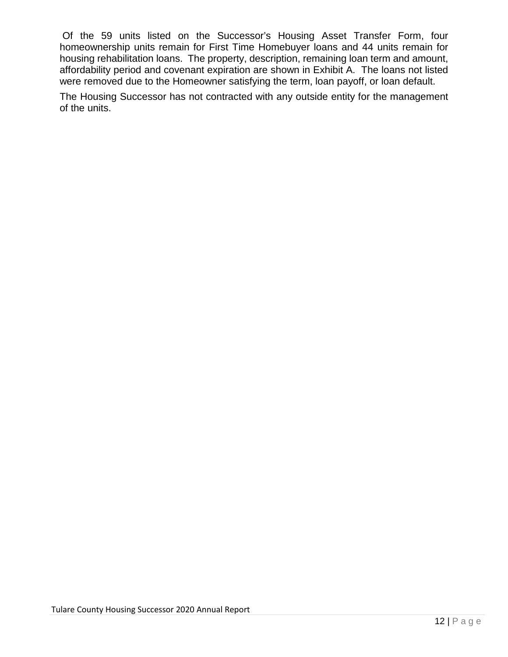Of the 59 units listed on the Successor's Housing Asset Transfer Form, four homeownership units remain for First Time Homebuyer loans and 44 units remain for housing rehabilitation loans. The property, description, remaining loan term and amount, affordability period and covenant expiration are shown in Exhibit A. The loans not listed were removed due to the Homeowner satisfying the term, loan payoff, or loan default.

The Housing Successor has not contracted with any outside entity for the management of the units.